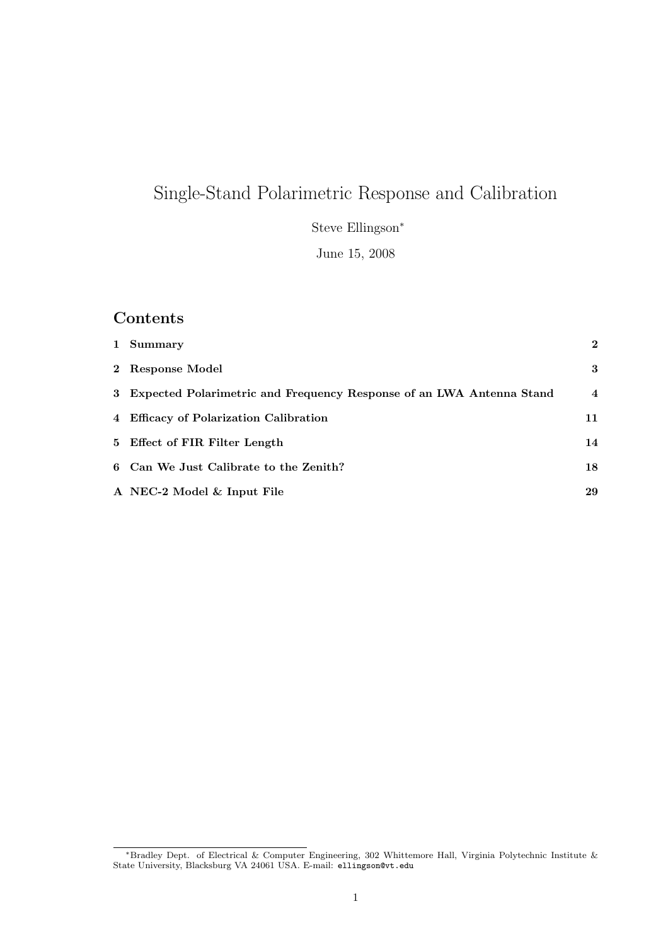# Single-Stand Polarimetric Response and Calibration

Steve Ellingson<sup>∗</sup>

June 15, 2008

# Contents

| 1 Summary                                                              | $\mathbf{2}$   |
|------------------------------------------------------------------------|----------------|
| 2 Response Model                                                       | 3              |
| 3 Expected Polarimetric and Frequency Response of an LWA Antenna Stand | $\overline{4}$ |
| 4 Efficacy of Polarization Calibration                                 | 11             |
| 5 Effect of FIR Filter Length                                          | 14             |
| 6 Can We Just Calibrate to the Zenith?                                 | 18             |
| A NEC-2 Model & Input File                                             | 29             |

<sup>∗</sup>Bradley Dept. of Electrical & Computer Engineering, 302 Whittemore Hall, Virginia Polytechnic Institute & State University, Blacksburg VA 24061 USA. E-mail: ellingson@vt.edu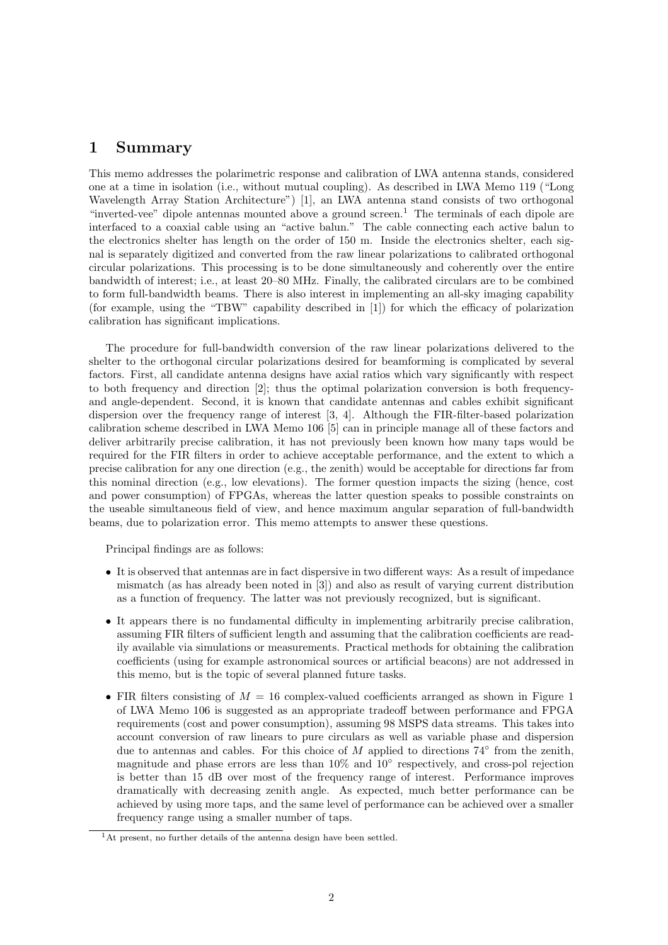### 1 Summary

This memo addresses the polarimetric response and calibration of LWA antenna stands, considered one at a time in isolation (i.e., without mutual coupling). As described in LWA Memo 119 ("Long Wavelength Array Station Architecture") [1], an LWA antenna stand consists of two orthogonal "inverted-vee" dipole antennas mounted above a ground screen.<sup>1</sup> The terminals of each dipole are interfaced to a coaxial cable using an "active balun." The cable connecting each active balun to the electronics shelter has length on the order of 150 m. Inside the electronics shelter, each signal is separately digitized and converted from the raw linear polarizations to calibrated orthogonal circular polarizations. This processing is to be done simultaneously and coherently over the entire bandwidth of interest; i.e., at least 20–80 MHz. Finally, the calibrated circulars are to be combined to form full-bandwidth beams. There is also interest in implementing an all-sky imaging capability (for example, using the "TBW" capability described in [1]) for which the efficacy of polarization calibration has significant implications.

The procedure for full-bandwidth conversion of the raw linear polarizations delivered to the shelter to the orthogonal circular polarizations desired for beamforming is complicated by several factors. First, all candidate antenna designs have axial ratios which vary significantly with respect to both frequency and direction [2]; thus the optimal polarization conversion is both frequencyand angle-dependent. Second, it is known that candidate antennas and cables exhibit significant dispersion over the frequency range of interest [3, 4]. Although the FIR-filter-based polarization calibration scheme described in LWA Memo 106 [5] can in principle manage all of these factors and deliver arbitrarily precise calibration, it has not previously been known how many taps would be required for the FIR filters in order to achieve acceptable performance, and the extent to which a precise calibration for any one direction (e.g., the zenith) would be acceptable for directions far from this nominal direction (e.g., low elevations). The former question impacts the sizing (hence, cost and power consumption) of FPGAs, whereas the latter question speaks to possible constraints on the useable simultaneous field of view, and hence maximum angular separation of full-bandwidth beams, due to polarization error. This memo attempts to answer these questions.

Principal findings are as follows:

- It is observed that antennas are in fact dispersive in two different ways: As a result of impedance mismatch (as has already been noted in [3]) and also as result of varying current distribution as a function of frequency. The latter was not previously recognized, but is significant.
- It appears there is no fundamental difficulty in implementing arbitrarily precise calibration, assuming FIR filters of sufficient length and assuming that the calibration coefficients are readily available via simulations or measurements. Practical methods for obtaining the calibration coefficients (using for example astronomical sources or artificial beacons) are not addressed in this memo, but is the topic of several planned future tasks.
- FIR filters consisting of  $M = 16$  complex-valued coefficients arranged as shown in Figure 1 of LWA Memo 106 is suggested as an appropriate tradeoff between performance and FPGA requirements (cost and power consumption), assuming 98 MSPS data streams. This takes into account conversion of raw linears to pure circulars as well as variable phase and dispersion due to antennas and cables. For this choice of M applied to directions  $74^{\circ}$  from the zenith, magnitude and phase errors are less than 10% and 10° respectively, and cross-pol rejection is better than 15 dB over most of the frequency range of interest. Performance improves dramatically with decreasing zenith angle. As expected, much better performance can be achieved by using more taps, and the same level of performance can be achieved over a smaller frequency range using a smaller number of taps.

 $<sup>1</sup>$ At present, no further details of the antenna design have been settled.</sup>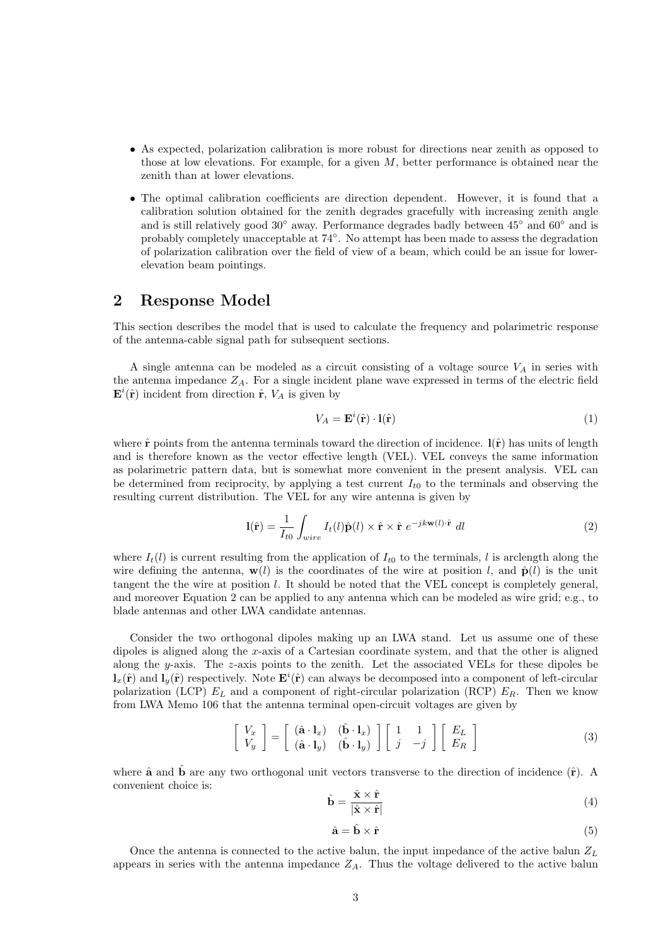- As expected, polarization calibration is more robust for directions near zenith as opposed to those at low elevations. For example, for a given  $M$ , better performance is obtained near the zenith than at lower elevations.
- The optimal calibration coefficients are direction dependent. However, it is found that a calibration solution obtained for the zenith degrades gracefully with increasing zenith angle and is still relatively good  $30°$  away. Performance degrades badly between  $45°$  and  $60°$  and is probably completely unacceptable at 74°. No attempt has been made to assess the degradation of polarization calibration over the field of view of a beam, which could be an issue for lowerelevation beam pointings.

#### 2 Response Model

This section describes the model that is used to calculate the frequency and polarimetric response of the antenna-cable signal path for subsequent sections.

A single antenna can be modeled as a circuit consisting of a voltage source  $V_A$  in series with the antenna impedance  $Z_A$ . For a single incident plane wave expressed in terms of the electric field  $\mathbf{E}^i(\hat{\mathbf{r}})$  incident from direction  $\hat{\mathbf{r}}, V_A$  is given by

$$
V_A = \mathbf{E}^i(\hat{\mathbf{r}}) \cdot \mathbf{l}(\hat{\mathbf{r}})
$$
 (1)

where  $\hat{\mathbf{r}}$  points from the antenna terminals toward the direction of incidence.  $\hat{\mathbf{l}}(\hat{\mathbf{r}})$  has units of length and is therefore known as the vector effective length (VEL). VEL conveys the same information as polarimetric pattern data, but is somewhat more convenient in the present analysis. VEL can be determined from reciprocity, by applying a test current  $I_{t0}$  to the terminals and observing the resulting current distribution. The VEL for any wire antenna is given by

$$
\mathbf{l}(\hat{\mathbf{r}}) = \frac{1}{I_{t0}} \int_{wire} I_t(l)\hat{\mathbf{p}}(l) \times \hat{\mathbf{r}} \times \hat{\mathbf{r}} e^{-j k \mathbf{w}(l) \cdot \hat{\mathbf{r}}} dl
$$
 (2)

where  $I_t(l)$  is current resulting from the application of  $I_{t0}$  to the terminals, l is arclength along the wire defining the antenna,  $\mathbf{w}(l)$  is the coordinates of the wire at position l, and  $\hat{\mathbf{p}}(l)$  is the unit tangent the the wire at position  $l$ . It should be noted that the VEL concept is completely general, and moreover Equation 2 can be applied to any antenna which can be modeled as wire grid; e.g., to blade antennas and other LWA candidate antennas.

Consider the two orthogonal dipoles making up an LWA stand. Let us assume one of these dipoles is aligned along the x-axis of a Cartesian coordinate system, and that the other is aligned along the y-axis. The z-axis points to the zenith. Let the associated VELs for these dipoles be  $\mathbf{l}_x(\hat{\mathbf{r}})$  and  $\mathbf{l}_y(\hat{\mathbf{r}})$  respectively. Note  $\mathbf{E}^i(\hat{\mathbf{r}})$  can always be decomposed into a component of left-circular polarization (LCP)  $E_L$  and a component of right-circular polarization (RCP)  $E_R$ . Then we know from LWA Memo 106 that the antenna terminal open-circuit voltages are given by

$$
\begin{bmatrix} V_x \\ V_y \end{bmatrix} = \begin{bmatrix} (\hat{\mathbf{a}} \cdot \mathbf{l}_x) & (\hat{\mathbf{b}} \cdot \mathbf{l}_x) \\ (\hat{\mathbf{a}} \cdot \mathbf{l}_y) & (\hat{\mathbf{b}} \cdot \mathbf{l}_y) \end{bmatrix} \begin{bmatrix} 1 & 1 \\ j & -j \end{bmatrix} \begin{bmatrix} E_L \\ E_R \end{bmatrix}
$$
 (3)

where  $\hat{a}$  and  $\hat{b}$  are any two orthogonal unit vectors transverse to the direction of incidence  $(\hat{r})$ . A convenient choice is:

$$
\hat{\mathbf{b}} = \frac{\hat{\mathbf{x}} \times \hat{\mathbf{r}}}{|\hat{\mathbf{x}} \times \hat{\mathbf{r}}|}
$$
(4)

$$
\hat{\mathbf{a}} = \hat{\mathbf{b}} \times \hat{\mathbf{r}} \tag{5}
$$

Once the antenna is connected to the active balun, the input impedance of the active balun  $Z_L$ appears in series with the antenna impedance  $Z_A$ . Thus the voltage delivered to the active balun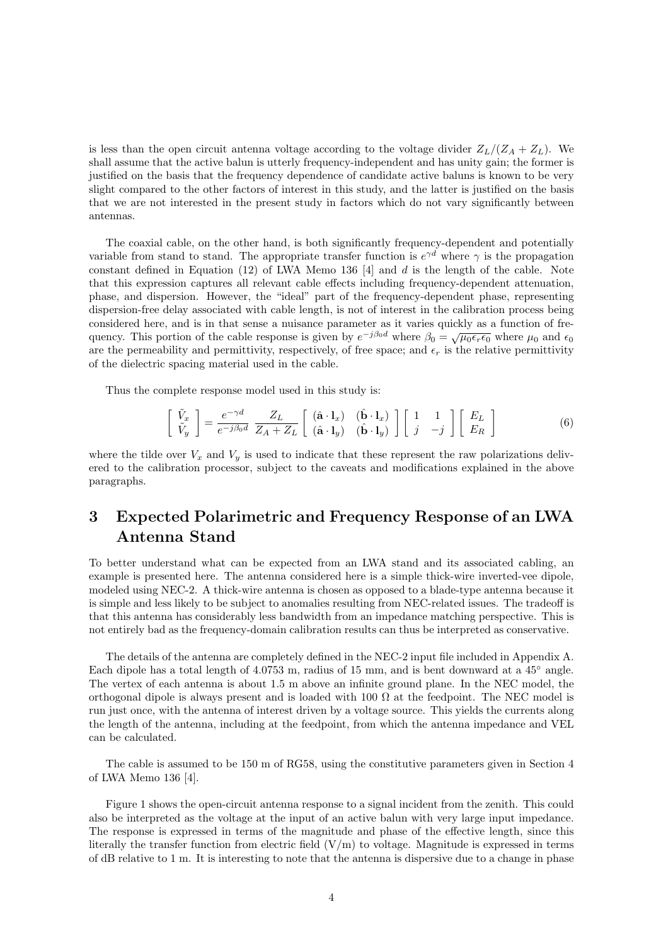is less than the open circuit antenna voltage according to the voltage divider  $Z_L/(Z_A + Z_L)$ . We shall assume that the active balun is utterly frequency-independent and has unity gain; the former is justified on the basis that the frequency dependence of candidate active baluns is known to be very slight compared to the other factors of interest in this study, and the latter is justified on the basis that we are not interested in the present study in factors which do not vary significantly between antennas.

The coaxial cable, on the other hand, is both significantly frequency-dependent and potentially variable from stand to stand. The appropriate transfer function is  $e^{\gamma d}$  where  $\gamma$  is the propagation constant defined in Equation  $(12)$  of LWA Memo 136 [4] and d is the length of the cable. Note that this expression captures all relevant cable effects including frequency-dependent attenuation, phase, and dispersion. However, the "ideal" part of the frequency-dependent phase, representing dispersion-free delay associated with cable length, is not of interest in the calibration process being considered here, and is in that sense a nuisance parameter as it varies quickly as a function of frequency. This portion of the cable response is given by  $e^{-j\beta_0 d}$  where  $\beta_0 = \sqrt{\mu_0 \epsilon_r \epsilon_0}$  where  $\mu_0$  and  $\epsilon_0$ are the permeability and permittivity, respectively, of free space; and  $\epsilon_r$  is the relative permittivity of the dielectric spacing material used in the cable.

Thus the complete response model used in this study is:

$$
\begin{bmatrix}\n\tilde{V}_x \\
\tilde{V}_y\n\end{bmatrix} = \frac{e^{-\gamma d}}{e^{-j\beta_0 d}} \frac{Z_L}{Z_A + Z_L} \begin{bmatrix}\n(\hat{\mathbf{a}} \cdot \mathbf{l}_x) & (\hat{\mathbf{b}} \cdot \mathbf{l}_x) \\
(\hat{\mathbf{a}} \cdot \mathbf{l}_y) & (\hat{\mathbf{b}} \cdot \mathbf{l}_y)\n\end{bmatrix} \begin{bmatrix}\n1 & 1 \\
j & -j\n\end{bmatrix} \begin{bmatrix}\nE_L \\
E_R\n\end{bmatrix}
$$
\n(6)

where the tilde over  $V_x$  and  $V_y$  is used to indicate that these represent the raw polarizations delivered to the calibration processor, subject to the caveats and modifications explained in the above paragraphs.

## 3 Expected Polarimetric and Frequency Response of an LWA Antenna Stand

To better understand what can be expected from an LWA stand and its associated cabling, an example is presented here. The antenna considered here is a simple thick-wire inverted-vee dipole, modeled using NEC-2. A thick-wire antenna is chosen as opposed to a blade-type antenna because it is simple and less likely to be subject to anomalies resulting from NEC-related issues. The tradeoff is that this antenna has considerably less bandwidth from an impedance matching perspective. This is not entirely bad as the frequency-domain calibration results can thus be interpreted as conservative.

The details of the antenna are completely defined in the NEC-2 input file included in Appendix A. Each dipole has a total length of  $4.0753$  m, radius of 15 mm, and is bent downward at a  $45°$  angle. The vertex of each antenna is about 1.5 m above an infinite ground plane. In the NEC model, the orthogonal dipole is always present and is loaded with  $100 \Omega$  at the feedpoint. The NEC model is run just once, with the antenna of interest driven by a voltage source. This yields the currents along the length of the antenna, including at the feedpoint, from which the antenna impedance and VEL can be calculated.

The cable is assumed to be 150 m of RG58, using the constitutive parameters given in Section 4 of LWA Memo 136 [4].

Figure 1 shows the open-circuit antenna response to a signal incident from the zenith. This could also be interpreted as the voltage at the input of an active balun with very large input impedance. The response is expressed in terms of the magnitude and phase of the effective length, since this literally the transfer function from electric field  $(V/m)$  to voltage. Magnitude is expressed in terms of dB relative to 1 m. It is interesting to note that the antenna is dispersive due to a change in phase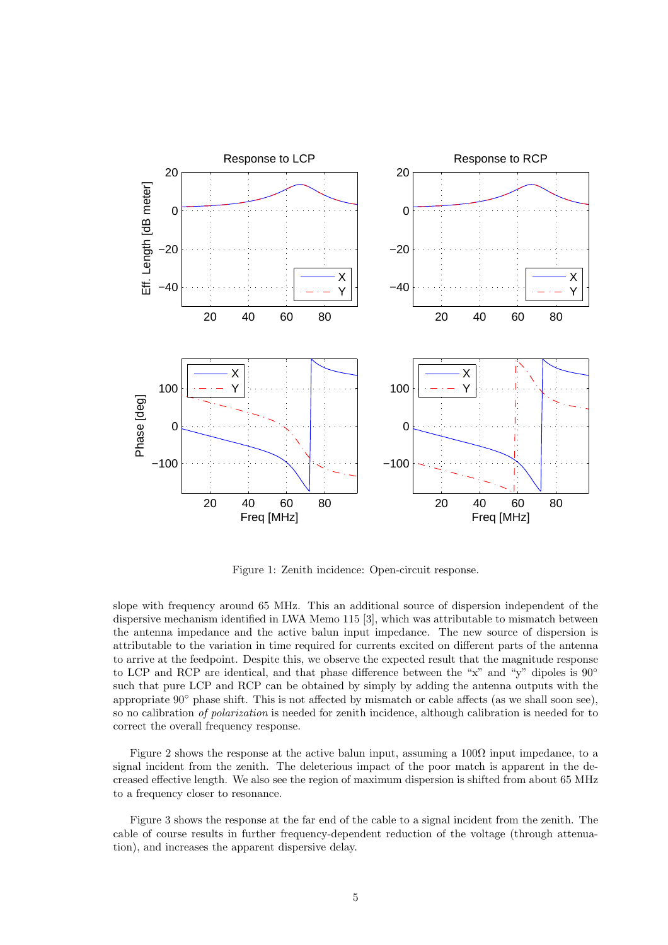

Figure 1: Zenith incidence: Open-circuit response.

slope with frequency around 65 MHz. This an additional source of dispersion independent of the dispersive mechanism identified in LWA Memo 115 [3], which was attributable to mismatch between the antenna impedance and the active balun input impedance. The new source of dispersion is attributable to the variation in time required for currents excited on different parts of the antenna to arrive at the feedpoint. Despite this, we observe the expected result that the magnitude response to LCP and RCP are identical, and that phase difference between the "x" and "y" dipoles is  $90^{\circ}$ such that pure LCP and RCP can be obtained by simply by adding the antenna outputs with the appropriate 90◦ phase shift. This is not affected by mismatch or cable affects (as we shall soon see), so no calibration of polarization is needed for zenith incidence, although calibration is needed for to correct the overall frequency response.

Figure 2 shows the response at the active balun input, assuming a  $100\Omega$  input impedance, to a signal incident from the zenith. The deleterious impact of the poor match is apparent in the decreased effective length. We also see the region of maximum dispersion is shifted from about 65 MHz to a frequency closer to resonance.

Figure 3 shows the response at the far end of the cable to a signal incident from the zenith. The cable of course results in further frequency-dependent reduction of the voltage (through attenuation), and increases the apparent dispersive delay.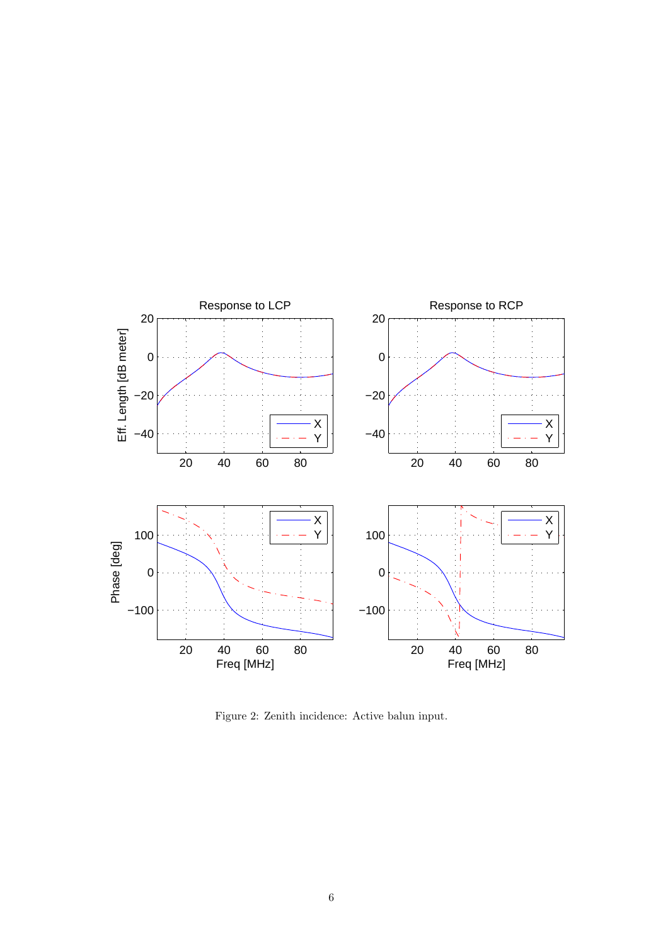

Figure 2: Zenith incidence: Active balun input.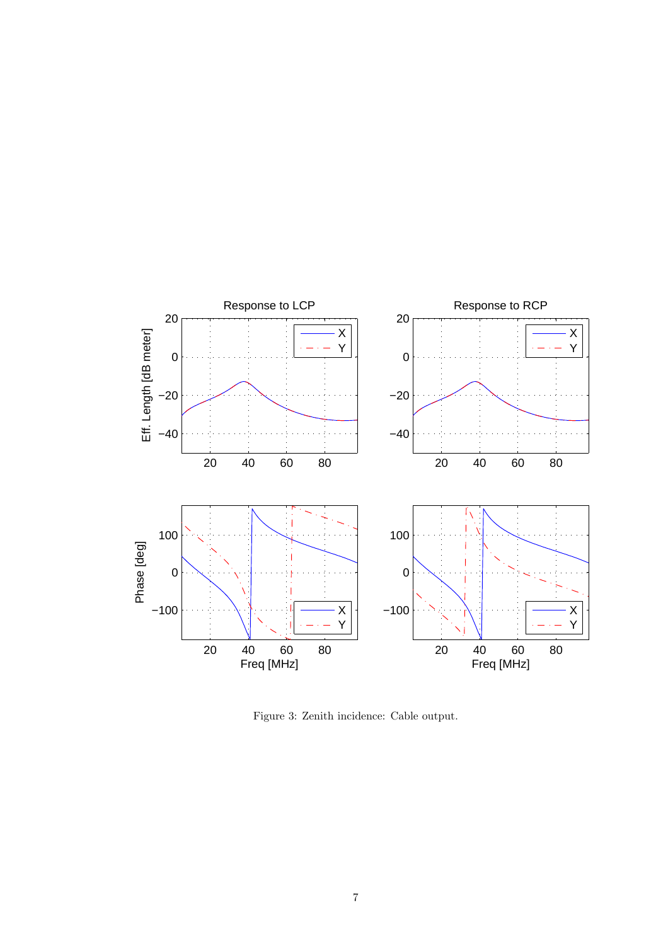

Figure 3: Zenith incidence: Cable output.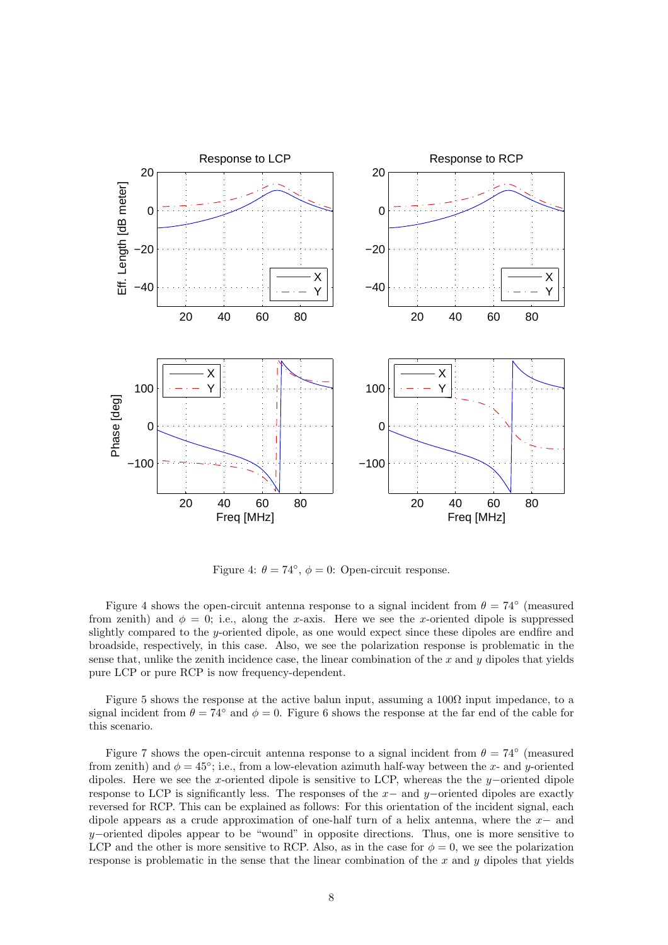

Figure 4:  $\theta = 74^{\circ}$ ,  $\phi = 0$ : Open-circuit response.

Figure 4 shows the open-circuit antenna response to a signal incident from  $\theta = 74^{\circ}$  (measured from zenith) and  $\phi = 0$ ; i.e., along the x-axis. Here we see the x-oriented dipole is suppressed slightly compared to the y-oriented dipole, as one would expect since these dipoles are endfire and broadside, respectively, in this case. Also, we see the polarization response is problematic in the sense that, unlike the zenith incidence case, the linear combination of the  $x$  and  $y$  dipoles that yields pure LCP or pure RCP is now frequency-dependent.

Figure 5 shows the response at the active balun input, assuming a  $100\Omega$  input impedance, to a signal incident from  $\theta = 74^\circ$  and  $\phi = 0$ . Figure 6 shows the response at the far end of the cable for this scenario.

Figure 7 shows the open-circuit antenna response to a signal incident from  $\theta = 74^{\circ}$  (measured from zenith) and  $\phi = 45^{\circ}$ ; i.e., from a low-elevation azimuth half-way between the x- and y-oriented dipoles. Here we see the x-oriented dipole is sensitive to LCP, whereas the the y−oriented dipole response to LCP is significantly less. The responses of the  $x-$  and  $y-$ oriented dipoles are exactly reversed for RCP. This can be explained as follows: For this orientation of the incident signal, each dipole appears as a crude approximation of one-half turn of a helix antenna, where the x− and  $y$ –oriented dipoles appear to be "wound" in opposite directions. Thus, one is more sensitive to LCP and the other is more sensitive to RCP. Also, as in the case for  $\phi = 0$ , we see the polarization response is problematic in the sense that the linear combination of the  $x$  and  $y$  dipoles that yields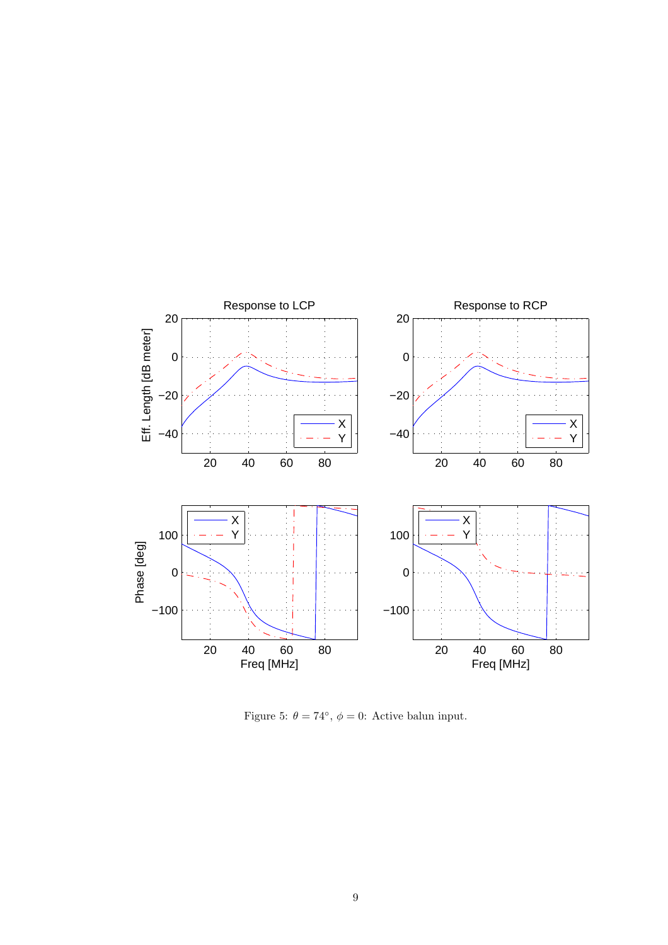

Figure 5:  $\theta = 74^{\circ}$ ,  $\phi = 0$ : Active balun input.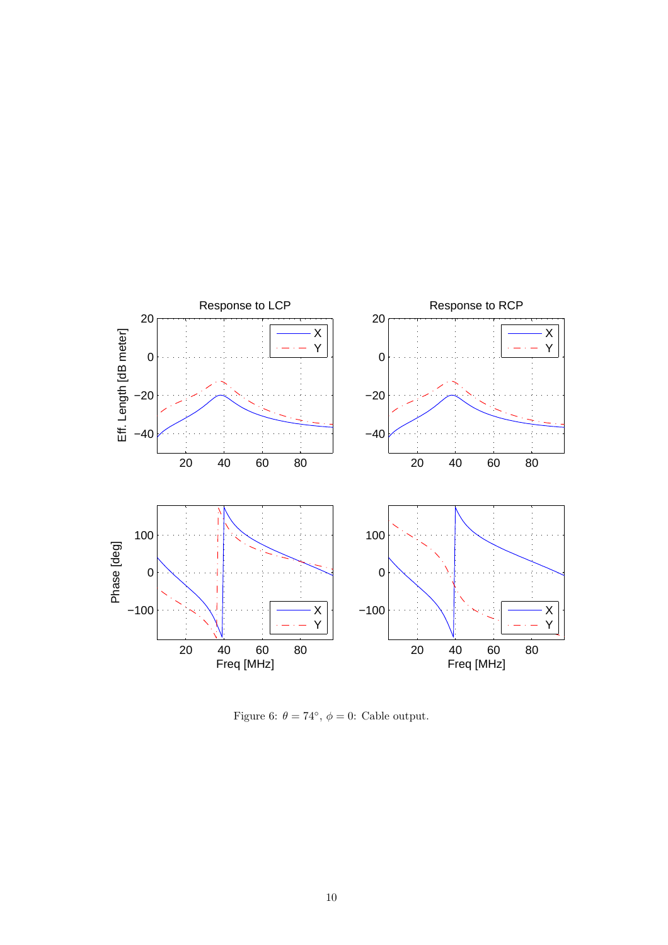

Figure 6:  $\theta = 74^{\circ}$ ,  $\phi = 0$ : Cable output.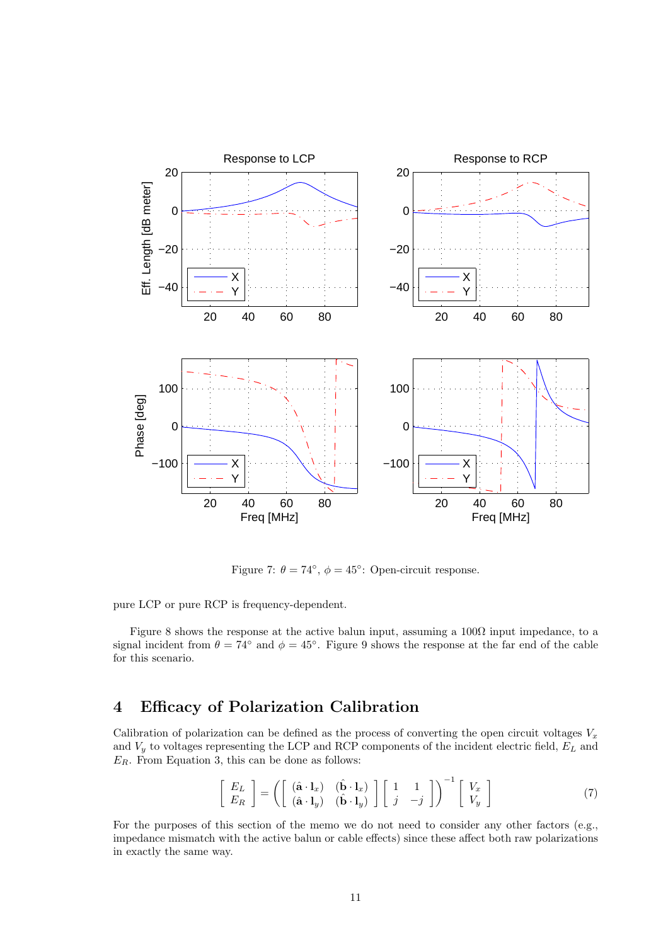

Figure 7:  $\theta = 74^{\circ}$ ,  $\phi = 45^{\circ}$ : Open-circuit response.

pure LCP or pure RCP is frequency-dependent.

Figure 8 shows the response at the active balun input, assuming a  $100\Omega$  input impedance, to a signal incident from  $\theta = 74^\circ$  and  $\phi = 45^\circ$ . Figure 9 shows the response at the far end of the cable for this scenario.

### 4 Efficacy of Polarization Calibration

Calibration of polarization can be defined as the process of converting the open circuit voltages  $V_x$ and  $V_y$  to voltages representing the LCP and RCP components of the incident electric field,  $E_L$  and  $E_R$ . From Equation 3, this can be done as follows:

$$
\begin{bmatrix} E_L \\ E_R \end{bmatrix} = \left( \begin{bmatrix} (\hat{\mathbf{a}} \cdot \mathbf{l}_x) & (\hat{\mathbf{b}} \cdot \mathbf{l}_x) \\ (\hat{\mathbf{a}} \cdot \mathbf{l}_y) & (\hat{\mathbf{b}} \cdot \mathbf{l}_y) \end{bmatrix} \begin{bmatrix} 1 & 1 \\ j & -j \end{bmatrix} \right)^{-1} \begin{bmatrix} V_x \\ V_y \end{bmatrix}
$$
(7)

For the purposes of this section of the memo we do not need to consider any other factors (e.g., impedance mismatch with the active balun or cable effects) since these affect both raw polarizations in exactly the same way.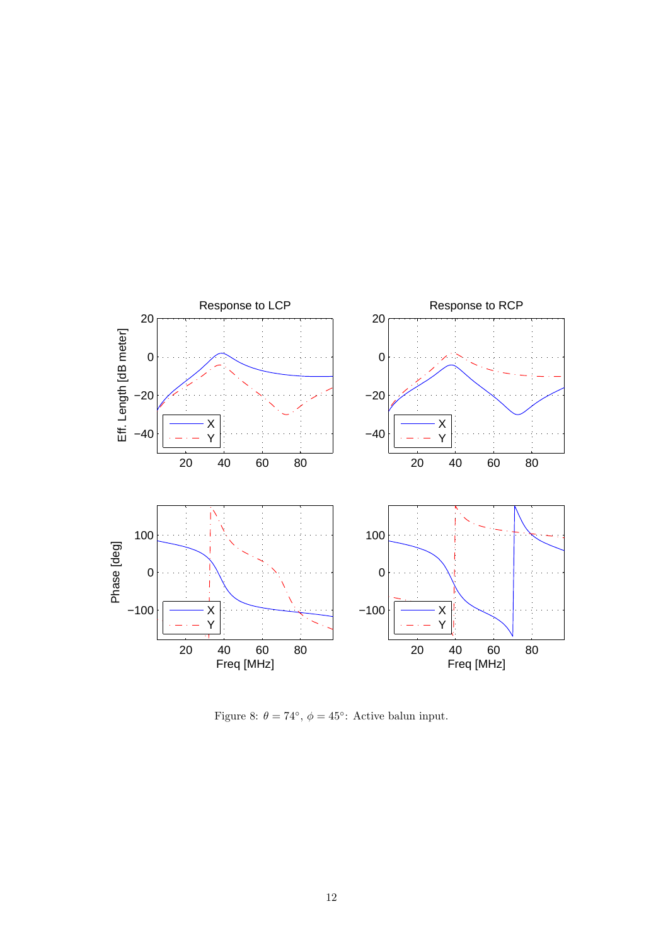

Figure 8:  $\theta = 74^{\circ}$ ,  $\phi = 45^{\circ}$ : Active balun input.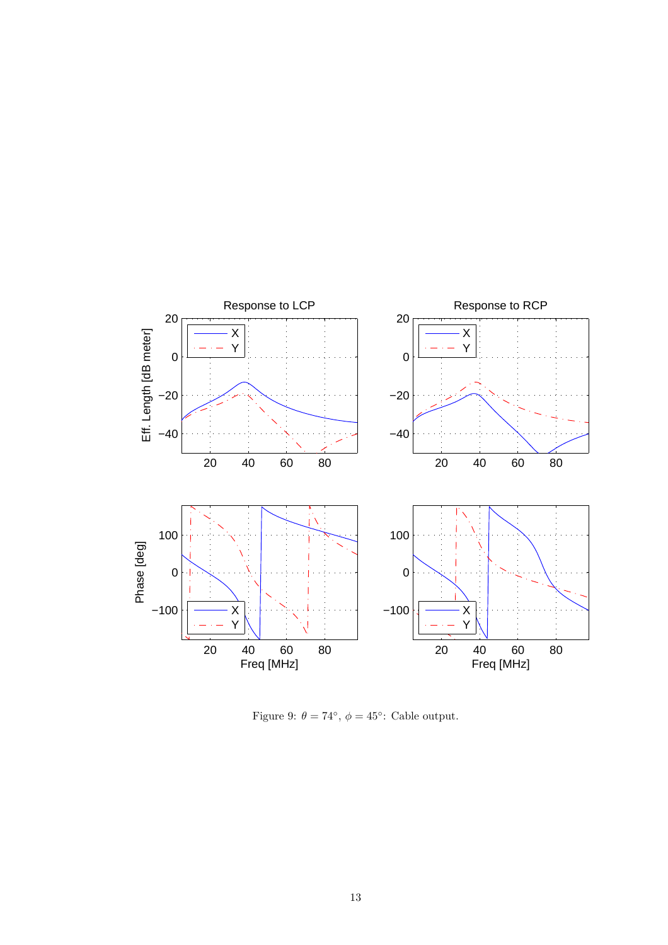

Figure 9:  $\theta = 74^{\circ}$ ,  $\phi = 45^{\circ}$ : Cable output.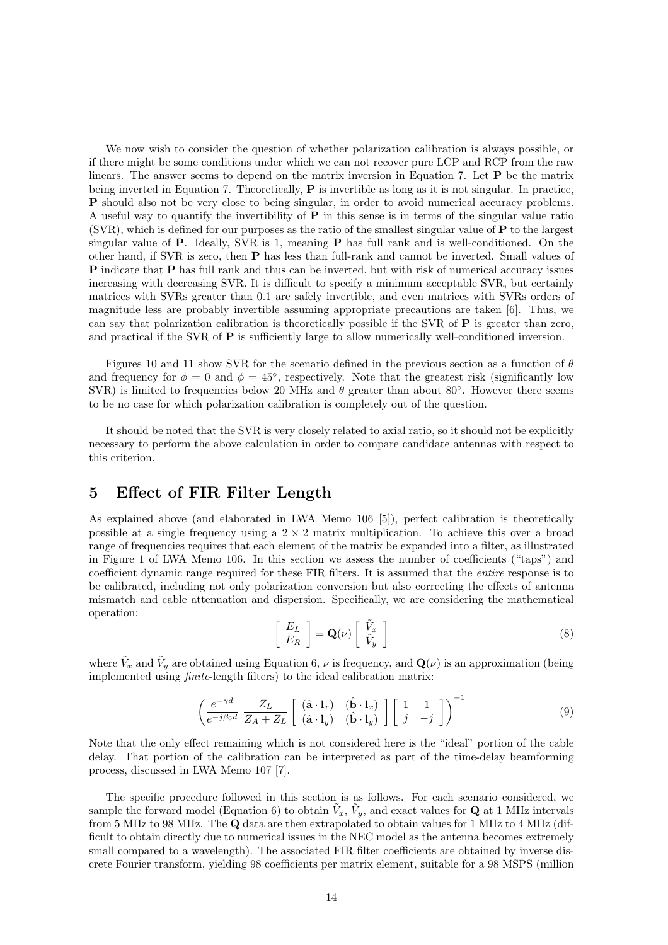We now wish to consider the question of whether polarization calibration is always possible, or if there might be some conditions under which we can not recover pure LCP and RCP from the raw linears. The answer seems to depend on the matrix inversion in Equation 7. Let  $P$  be the matrix being inverted in Equation 7. Theoretically,  $P$  is invertible as long as it is not singular. In practice, P should also not be very close to being singular, in order to avoid numerical accuracy problems. A useful way to quantify the invertibility of  $P$  in this sense is in terms of the singular value ratio (SVR), which is defined for our purposes as the ratio of the smallest singular value of P to the largest singular value of  $P$ . Ideally, SVR is 1, meaning  $P$  has full rank and is well-conditioned. On the other hand, if SVR is zero, then P has less than full-rank and cannot be inverted. Small values of P indicate that P has full rank and thus can be inverted, but with risk of numerical accuracy issues increasing with decreasing SVR. It is difficult to specify a minimum acceptable SVR, but certainly matrices with SVRs greater than 0.1 are safely invertible, and even matrices with SVRs orders of magnitude less are probably invertible assuming appropriate precautions are taken [6]. Thus, we can say that polarization calibration is theoretically possible if the SVR of  $P$  is greater than zero, and practical if the SVR of **P** is sufficiently large to allow numerically well-conditioned inversion.

Figures 10 and 11 show SVR for the scenario defined in the previous section as a function of  $\theta$ and frequency for  $\phi = 0$  and  $\phi = 45^{\circ}$ , respectively. Note that the greatest risk (significantly low SVR) is limited to frequencies below 20 MHz and  $\theta$  greater than about 80°. However there seems to be no case for which polarization calibration is completely out of the question.

It should be noted that the SVR is very closely related to axial ratio, so it should not be explicitly necessary to perform the above calculation in order to compare candidate antennas with respect to this criterion.

#### 5 Effect of FIR Filter Length

As explained above (and elaborated in LWA Memo 106 [5]), perfect calibration is theoretically possible at a single frequency using a  $2 \times 2$  matrix multiplication. To achieve this over a broad range of frequencies requires that each element of the matrix be expanded into a filter, as illustrated in Figure 1 of LWA Memo 106. In this section we assess the number of coefficients ("taps") and coefficient dynamic range required for these FIR filters. It is assumed that the entire response is to be calibrated, including not only polarization conversion but also correcting the effects of antenna mismatch and cable attenuation and dispersion. Specifically, we are considering the mathematical operation:

$$
\left[\begin{array}{c} E_L \\ E_R \end{array}\right] = \mathbf{Q}(\nu) \left[\begin{array}{c} \tilde{V}_x \\ \tilde{V}_y \end{array}\right] \tag{8}
$$

where  $\tilde{V}_x$  and  $\tilde{V}_y$  are obtained using Equation 6,  $\nu$  is frequency, and  $\mathbf{Q}(\nu)$  is an approximation (being implemented using finite-length filters) to the ideal calibration matrix:

$$
\left(\frac{e^{-\gamma d}}{e^{-j\beta_0 d}} \frac{Z_L}{Z_A + Z_L} \begin{bmatrix} (\hat{\mathbf{a}} \cdot \mathbf{l}_x) & (\hat{\mathbf{b}} \cdot \mathbf{l}_x) \\ (\hat{\mathbf{a}} \cdot \mathbf{l}_y) & (\hat{\mathbf{b}} \cdot \mathbf{l}_y) \end{bmatrix} \begin{bmatrix} 1 & 1 \\ j & -j \end{bmatrix} \right)^{-1}
$$
(9)

Note that the only effect remaining which is not considered here is the "ideal" portion of the cable delay. That portion of the calibration can be interpreted as part of the time-delay beamforming process, discussed in LWA Memo 107 [7].

The specific procedure followed in this section is as follows. For each scenario considered, we sample the forward model (Equation 6) to obtain  $\tilde{V}_x$ ,  $\tilde{V}_y$ , and exact values for **Q** at 1 MHz intervals from 5 MHz to 98 MHz. The Q data are then extrapolated to obtain values for 1 MHz to 4 MHz (difficult to obtain directly due to numerical issues in the NEC model as the antenna becomes extremely small compared to a wavelength). The associated FIR filter coefficients are obtained by inverse discrete Fourier transform, yielding 98 coefficients per matrix element, suitable for a 98 MSPS (million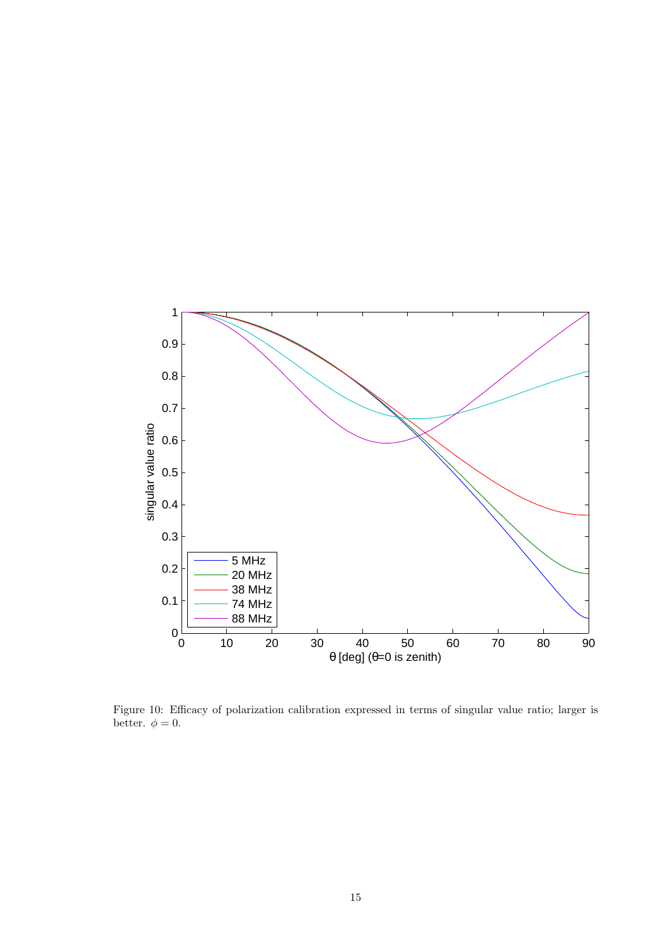

Figure 10: Efficacy of polarization calibration expressed in terms of singular value ratio; larger is better.  $\phi = 0$ .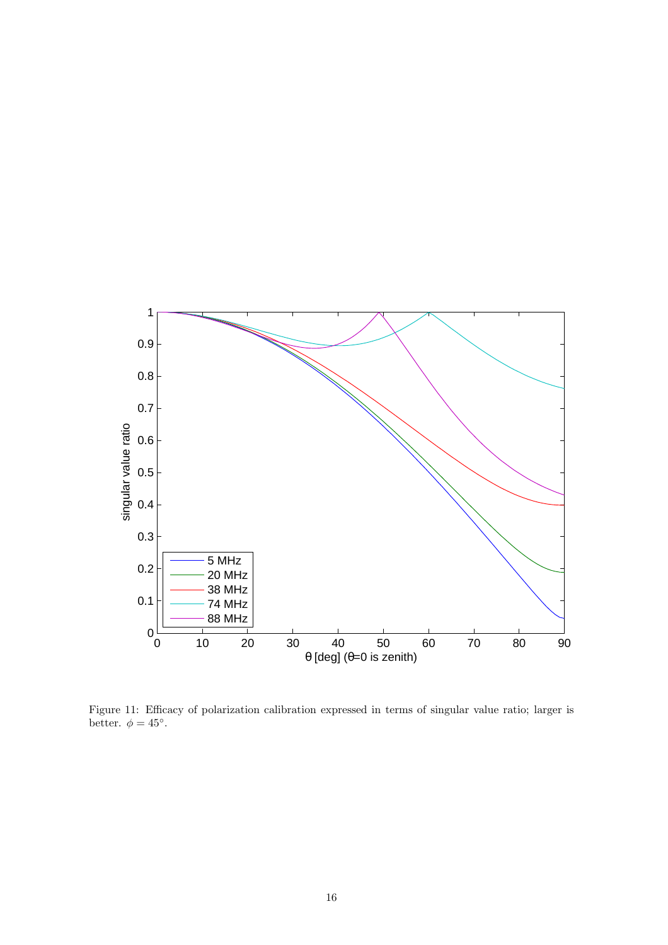

Figure 11: Efficacy of polarization calibration expressed in terms of singular value ratio; larger is better.  $\phi = 45^\circ$ .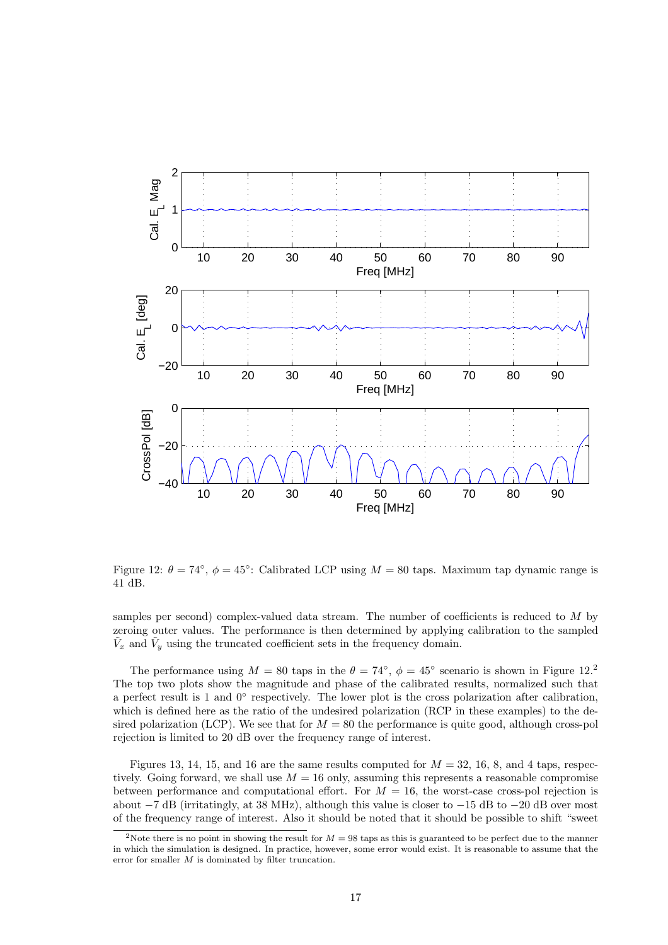

Figure 12:  $\theta = 74^\circ$ ,  $\phi = 45^\circ$ : Calibrated LCP using  $M = 80$  taps. Maximum tap dynamic range is 41 dB.

samples per second) complex-valued data stream. The number of coefficients is reduced to M by zeroing outer values. The performance is then determined by applying calibration to the sampled  $\tilde{V}_x$  and  $\tilde{V}_y$  using the truncated coefficient sets in the frequency domain.

The performance using  $M = 80$  taps in the  $\theta = 74^{\circ}$ ,  $\phi = 45^{\circ}$  scenario is shown in Figure 12.<sup>2</sup> The top two plots show the magnitude and phase of the calibrated results, normalized such that a perfect result is 1 and 0° respectively. The lower plot is the cross polarization after calibration, which is defined here as the ratio of the undesired polarization (RCP in these examples) to the desired polarization (LCP). We see that for  $M = 80$  the performance is quite good, although cross-pol rejection is limited to 20 dB over the frequency range of interest.

Figures 13, 14, 15, and 16 are the same results computed for  $M = 32, 16, 8$ , and 4 taps, respectively. Going forward, we shall use  $M = 16$  only, assuming this represents a reasonable compromise between performance and computational effort. For  $M = 16$ , the worst-case cross-pol rejection is about −7 dB (irritatingly, at 38 MHz), although this value is closer to −15 dB to −20 dB over most of the frequency range of interest. Also it should be noted that it should be possible to shift "sweet

<sup>&</sup>lt;sup>2</sup>Note there is no point in showing the result for  $M = 98$  taps as this is guaranteed to be perfect due to the manner in which the simulation is designed. In practice, however, some error would exist. It is reasonable to assume that the error for smaller  $M$  is dominated by filter truncation.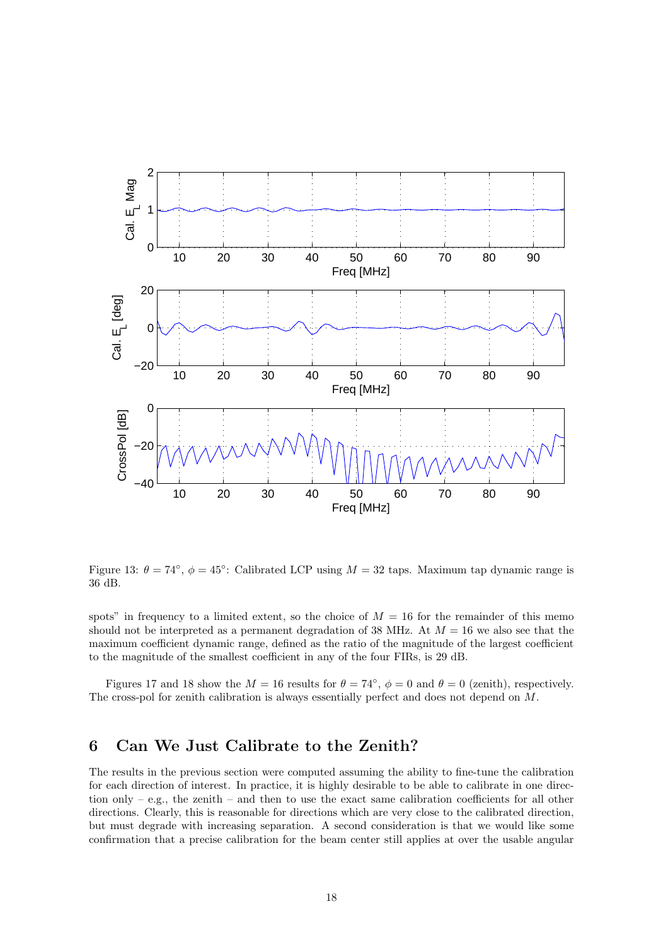

Figure 13:  $\theta = 74^{\circ}$ ,  $\phi = 45^{\circ}$ : Calibrated LCP using  $M = 32$  taps. Maximum tap dynamic range is 36 dB.

spots" in frequency to a limited extent, so the choice of  $M = 16$  for the remainder of this memo should not be interpreted as a permanent degradation of 38 MHz. At  $M = 16$  we also see that the maximum coefficient dynamic range, defined as the ratio of the magnitude of the largest coefficient to the magnitude of the smallest coefficient in any of the four FIRs, is 29 dB.

Figures 17 and 18 show the  $M = 16$  results for  $\theta = 74^{\circ}$ ,  $\phi = 0$  and  $\theta = 0$  (zenith), respectively. The cross-pol for zenith calibration is always essentially perfect and does not depend on M.

### 6 Can We Just Calibrate to the Zenith?

The results in the previous section were computed assuming the ability to fine-tune the calibration for each direction of interest. In practice, it is highly desirable to be able to calibrate in one direction only – e.g., the zenith – and then to use the exact same calibration coefficients for all other directions. Clearly, this is reasonable for directions which are very close to the calibrated direction, but must degrade with increasing separation. A second consideration is that we would like some confirmation that a precise calibration for the beam center still applies at over the usable angular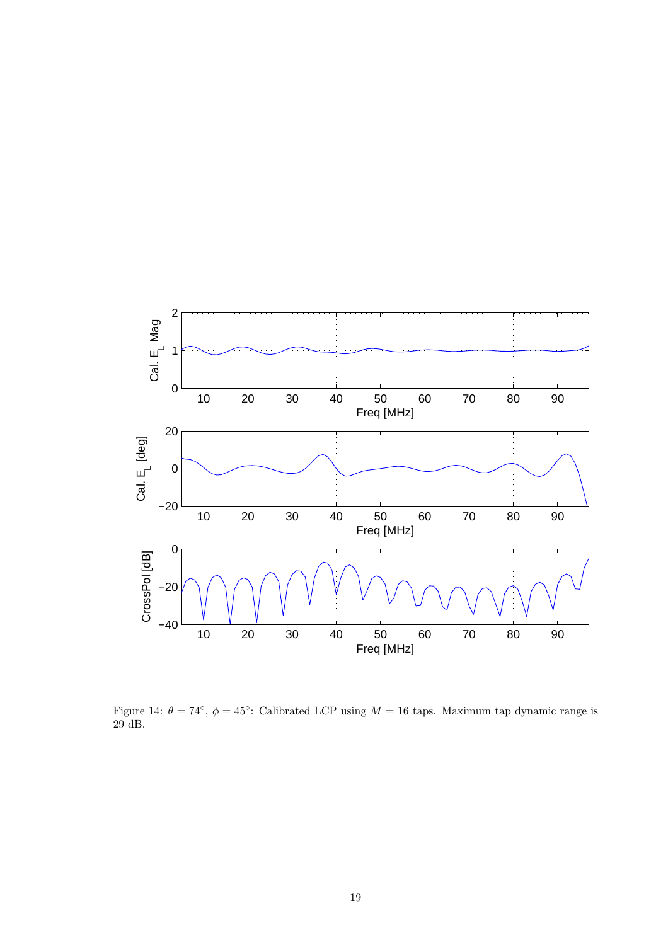

Figure 14:  $\theta = 74^\circ$ ,  $\phi = 45^\circ$ : Calibrated LCP using  $M = 16$  taps. Maximum tap dynamic range is 29 dB.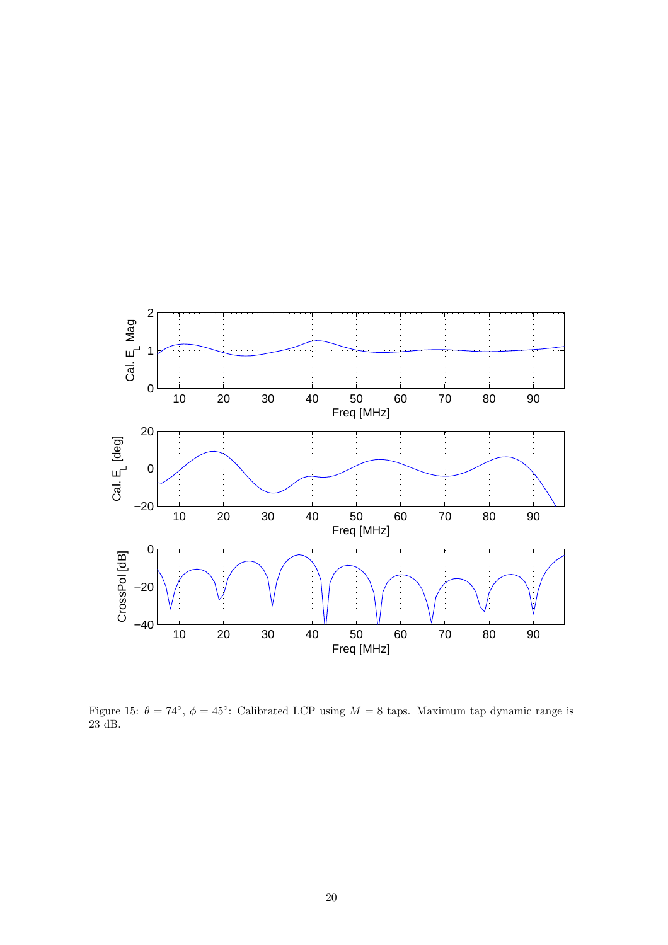

Figure 15:  $\theta = 74^{\circ}$ ,  $\phi = 45^{\circ}$ : Calibrated LCP using  $M = 8$  taps. Maximum tap dynamic range is 23 dB.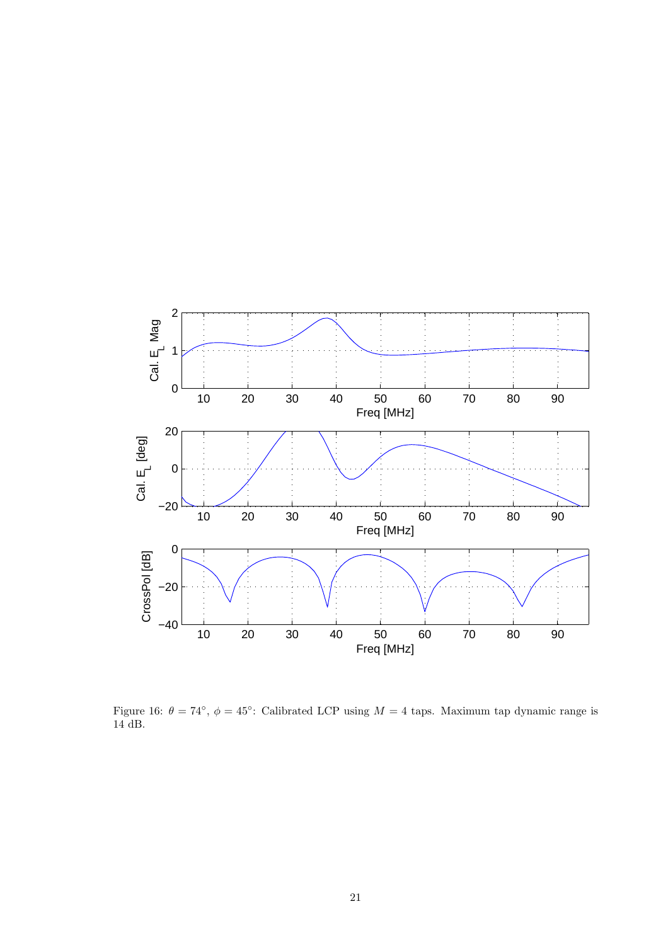

Figure 16:  $\theta = 74^\circ$ ,  $\phi = 45^\circ$ : Calibrated LCP using  $M = 4$  taps. Maximum tap dynamic range is 14 dB.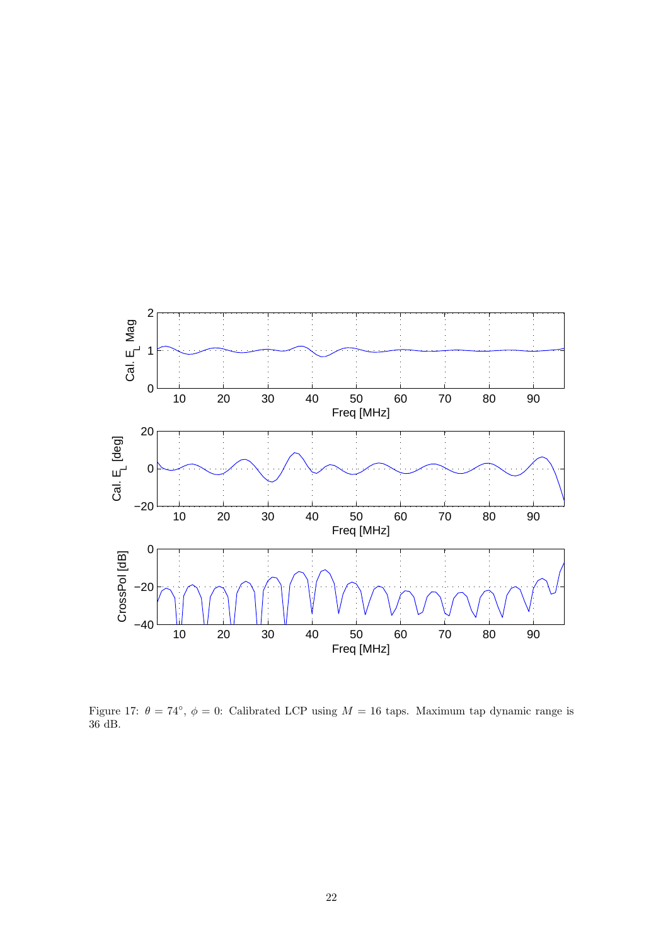

Figure 17:  $\theta = 74^{\circ}$ ,  $\phi = 0$ : Calibrated LCP using  $M = 16$  taps. Maximum tap dynamic range is 36 dB.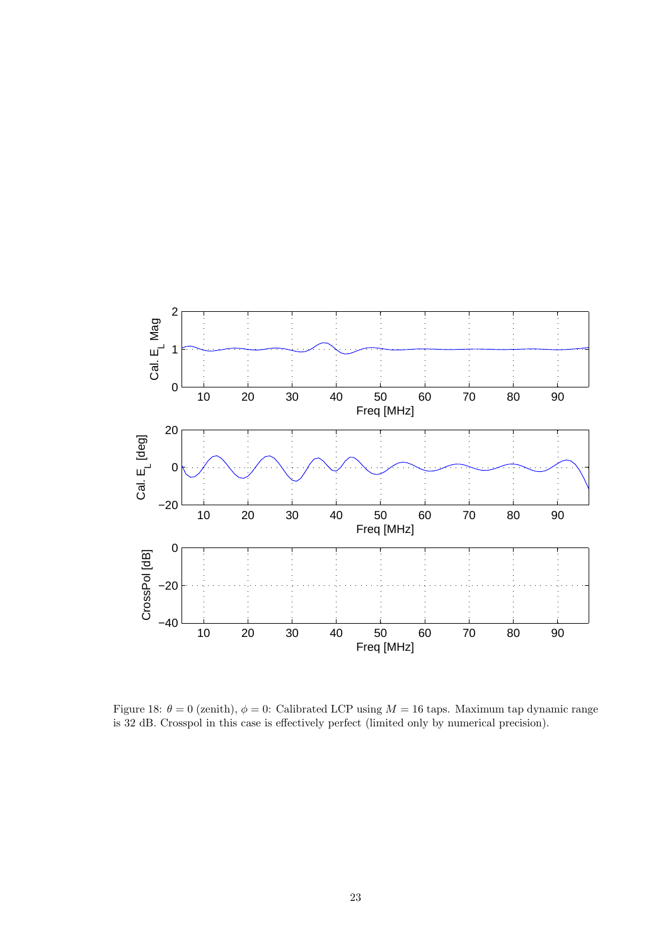

Figure 18:  $\theta = 0$  (zenith),  $\phi = 0$ : Calibrated LCP using  $M = 16$  taps. Maximum tap dynamic range is 32 dB. Crosspol in this case is effectively perfect (limited only by numerical precision).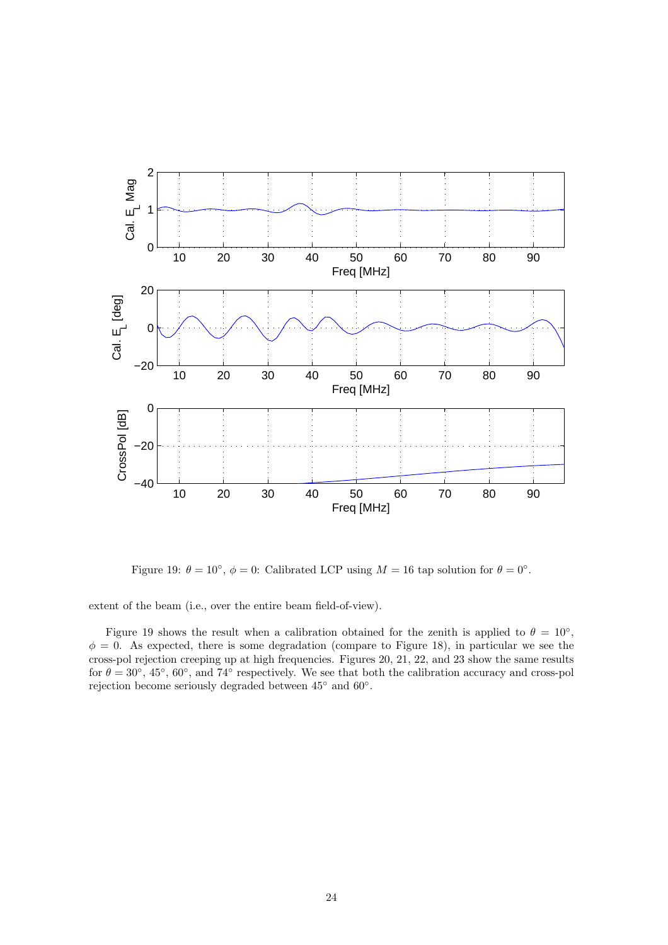

Figure 19:  $\theta = 10^{\circ}$ ,  $\phi = 0$ : Calibrated LCP using  $M = 16$  tap solution for  $\theta = 0^{\circ}$ .

extent of the beam (i.e., over the entire beam field-of-view).

Figure 19 shows the result when a calibration obtained for the zenith is applied to  $\theta = 10^{\circ}$ ,  $\phi = 0$ . As expected, there is some degradation (compare to Figure 18), in particular we see the cross-pol rejection creeping up at high frequencies. Figures 20, 21, 22, and 23 show the same results for  $\theta = 30^{\circ}$ , 45°, 60°, and 74° respectively. We see that both the calibration accuracy and cross-pol rejection become seriously degraded between 45◦ and 60◦ .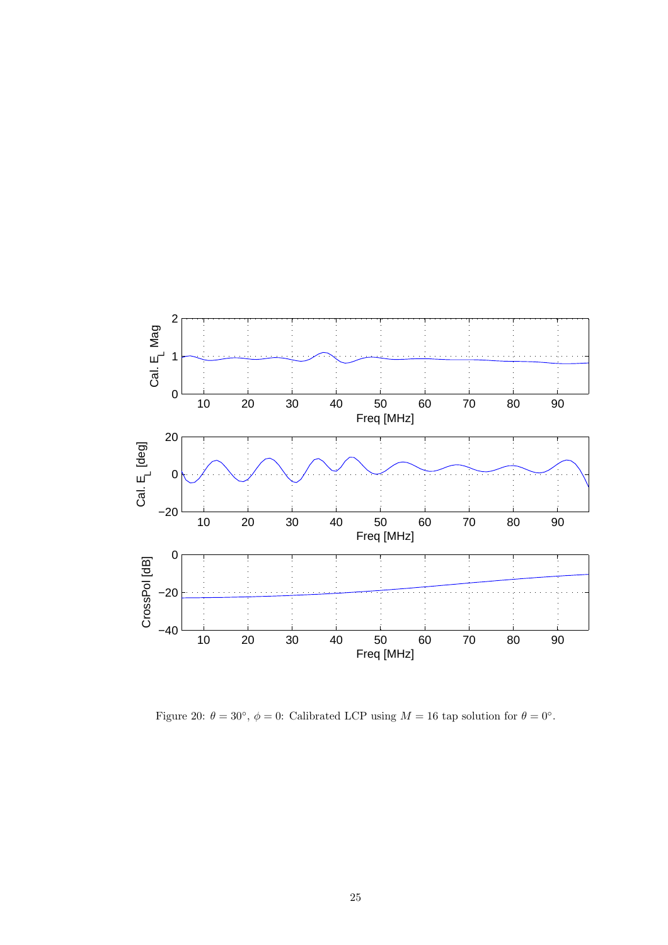

Figure 20:  $\theta = 30^{\circ}$ ,  $\phi = 0$ : Calibrated LCP using  $M = 16$  tap solution for  $\theta = 0^{\circ}$ .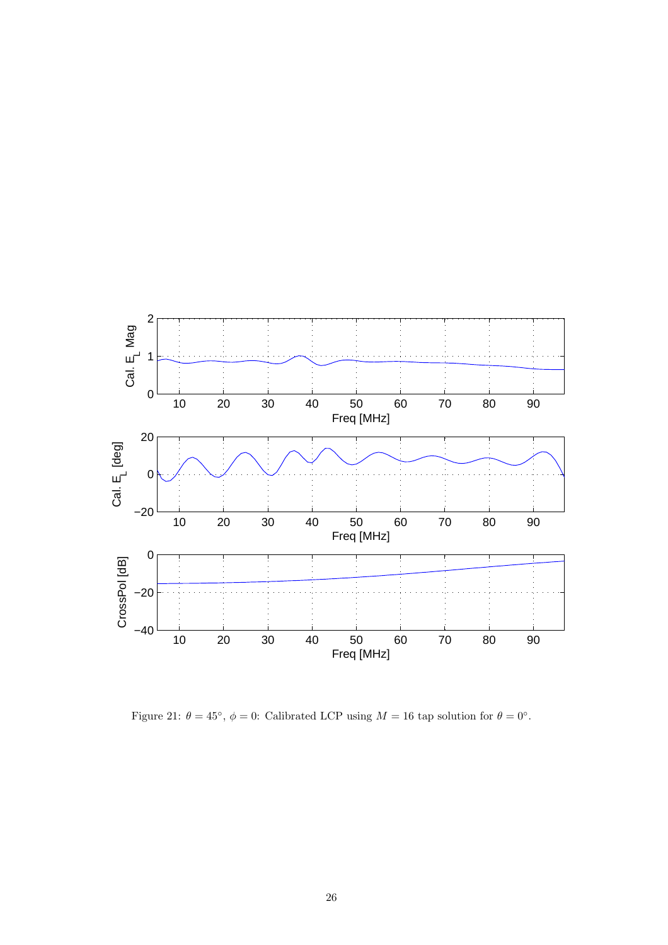

Figure 21:  $\theta = 45^{\circ}$ ,  $\phi = 0$ : Calibrated LCP using  $M = 16$  tap solution for  $\theta = 0^{\circ}$ .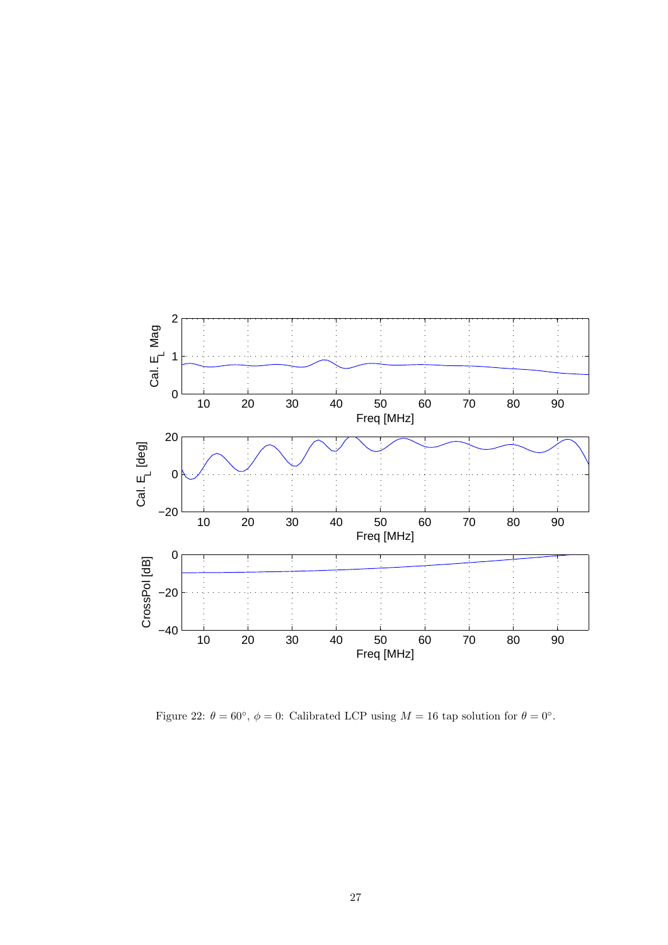

Figure 22:  $\theta = 60^{\circ}$ ,  $\phi = 0$ : Calibrated LCP using  $M = 16$  tap solution for  $\theta = 0^{\circ}$ .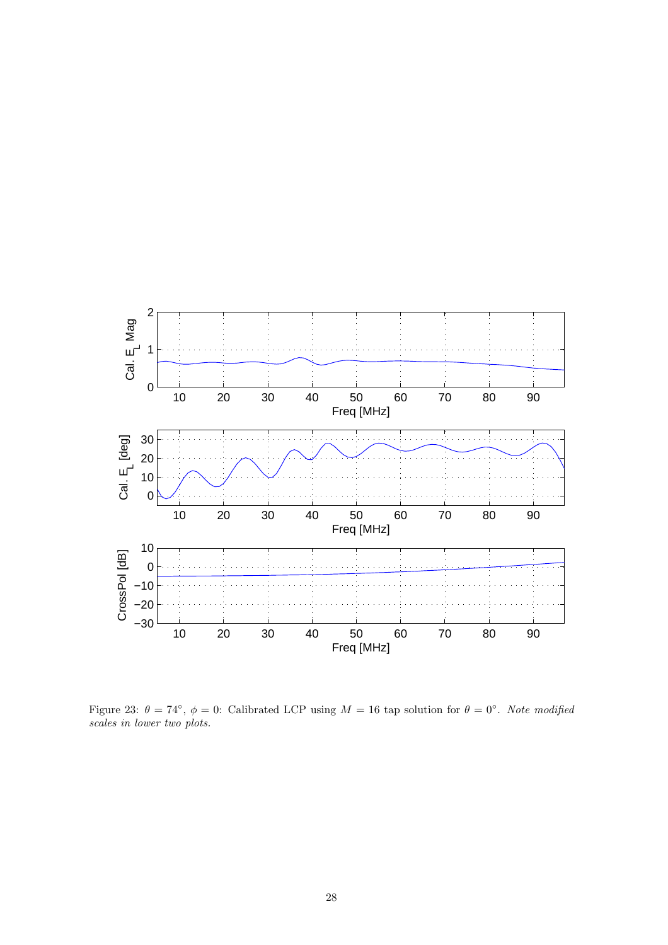

Figure 23:  $\theta = 74^\circ$ ,  $\phi = 0$ : Calibrated LCP using  $M = 16$  tap solution for  $\theta = 0^\circ$ . Note modified scales in lower two plots.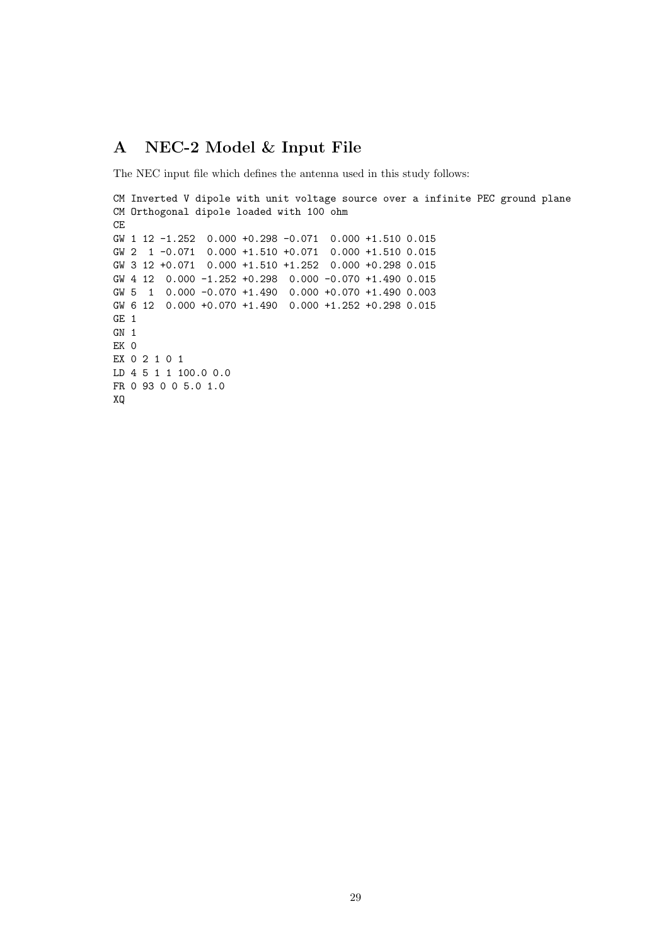## A NEC-2 Model & Input File

The NEC input file which defines the antenna used in this study follows:

```
CM Inverted V dipole with unit voltage source over a infinite PEC ground plane
CM Orthogonal dipole loaded with 100 ohm
CE
GW 1 12 -1.252 0.000 +0.298 -0.071 0.000 +1.510 0.015
GW 2 1 -0.071 0.000 +1.510 +0.071 0.000 +1.510 0.015
GW 3 12 +0.071 0.000 +1.510 +1.252 0.000 +0.298 0.015
GW 4 12 0.000 -1.252 +0.298 0.000 -0.070 +1.490 0.015
GW 5 1 0.000 -0.070 +1.490 0.000 +0.070 +1.490 0.003
GW 6 12 0.000 +0.070 +1.490 0.000 +1.252 +0.298 0.015
GE 1
GN 1
EK 0
EX 0 2 1 0 1
LD 4 5 1 1 100.0 0.0
FR 0 93 0 0 5.0 1.0
XQ
```